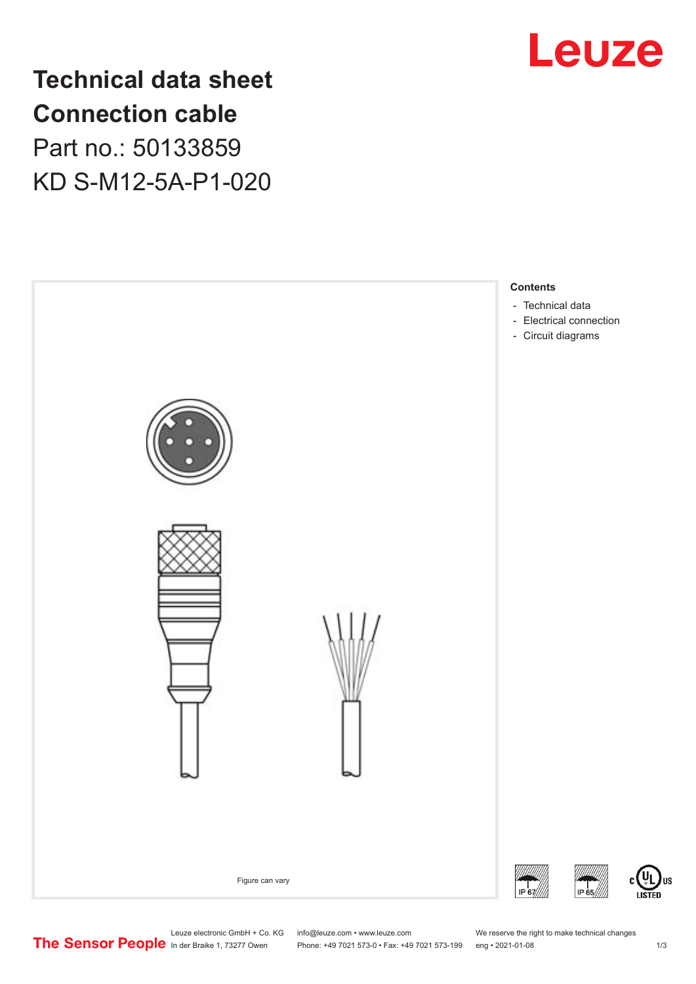

**Technical data sheet Connection cable** Part no.: 50133859 KD S-M12-5A-P1-020



US

Leuze electronic GmbH + Co. KG info@leuze.com • www.leuze.com We reserve the right to make technical changes<br>
The Sensor People in der Braike 1, 73277 Owen Phone: +49 7021 573-0 • Fax: +49 7021 573-199 eng • 2021-01-08

Phone: +49 7021 573-0 • Fax: +49 7021 573-199 eng • 2021-01-08 1 m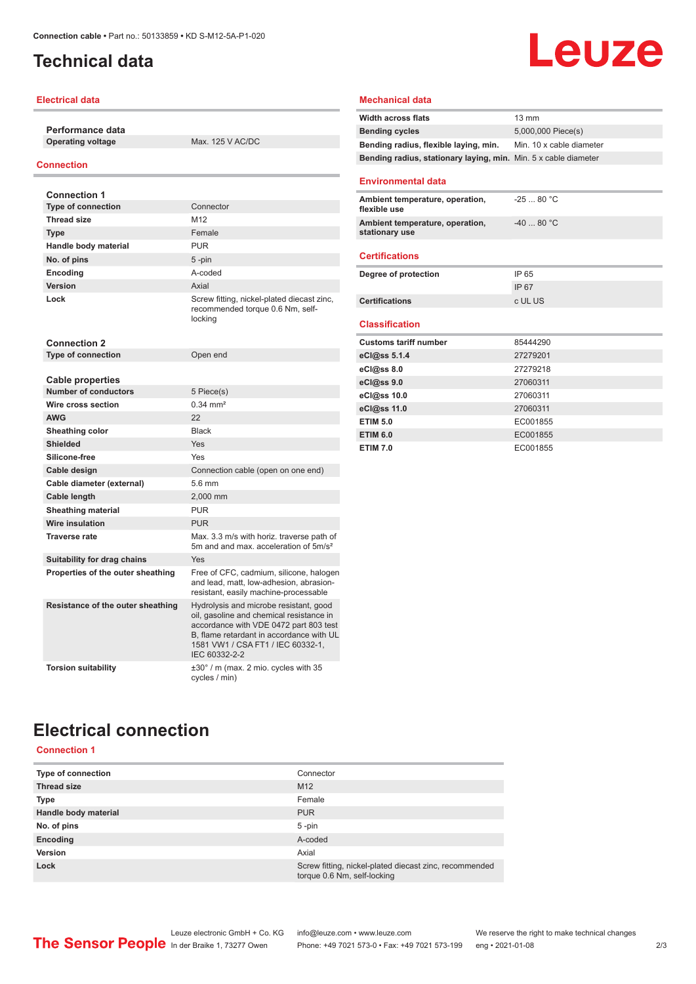# <span id="page-1-0"></span>**Technical data**

## **Electrical data**

**Performance data Operating voltage** Max. 125 V AC/DC

## **Connection**

| <b>Connection 1</b>                                    |                                                                                                                                                                                                                                |
|--------------------------------------------------------|--------------------------------------------------------------------------------------------------------------------------------------------------------------------------------------------------------------------------------|
| <b>Type of connection</b>                              | Connector                                                                                                                                                                                                                      |
| <b>Thread size</b>                                     | M12                                                                                                                                                                                                                            |
| <b>Type</b>                                            | Female                                                                                                                                                                                                                         |
| Handle body material                                   | <b>PUR</b>                                                                                                                                                                                                                     |
| No. of pins                                            | $5 - pin$                                                                                                                                                                                                                      |
| <b>Encoding</b>                                        | hehon-A                                                                                                                                                                                                                        |
| Version                                                | Axial                                                                                                                                                                                                                          |
| Lock                                                   | Screw fitting, nickel-plated diecast zinc,<br>recommended torque 0.6 Nm, self-<br>locking                                                                                                                                      |
| <b>Connection 2</b>                                    |                                                                                                                                                                                                                                |
| <b>Type of connection</b>                              | Open end                                                                                                                                                                                                                       |
|                                                        |                                                                                                                                                                                                                                |
| <b>Cable properties</b><br><b>Number of conductors</b> |                                                                                                                                                                                                                                |
| Wire cross section                                     | 5 Piece(s)<br>$0.34 \, \text{mm}^2$                                                                                                                                                                                            |
|                                                        |                                                                                                                                                                                                                                |
| <b>AWG</b>                                             | 22<br><b>Black</b>                                                                                                                                                                                                             |
| Sheathing color<br><b>Shielded</b>                     |                                                                                                                                                                                                                                |
|                                                        | Yes                                                                                                                                                                                                                            |
| Silicone-free                                          | Yes                                                                                                                                                                                                                            |
| Cable design                                           | Connection cable (open on one end)                                                                                                                                                                                             |
| Cable diameter (external)                              | 5.6 mm                                                                                                                                                                                                                         |
| Cable length                                           | 2,000 mm                                                                                                                                                                                                                       |
| <b>Sheathing material</b>                              | <b>PUR</b>                                                                                                                                                                                                                     |
| <b>Wire insulation</b>                                 | <b>PUR</b>                                                                                                                                                                                                                     |
| <b>Traverse rate</b>                                   | Max. 3.3 m/s with horiz. traverse path of<br>5m and and max, acceleration of 5m/s <sup>2</sup>                                                                                                                                 |
| Suitability for drag chains                            | Yes                                                                                                                                                                                                                            |
| Properties of the outer sheathing                      | Free of CFC, cadmium, silicone, halogen<br>and lead, matt, low-adhesion, abrasion-<br>resistant, easily machine-processable                                                                                                    |
| Resistance of the outer sheathing                      | Hydrolysis and microbe resistant, good<br>oil, gasoline and chemical resistance in<br>accordance with VDE 0472 part 803 test<br>B. flame retardant in accordance with UL<br>1581 VW1 / CSA FT1 / IEC 60332-1.<br>IEC 60332-2-2 |
| <b>Torsion suitability</b>                             | $\pm 30^\circ$ / m (max. 2 mio. cycles with 35<br>cycles / min)                                                                                                                                                                |

## **Mechanical data**

| <b>Width across flats</b>                                       | $13 \text{ mm}$          |
|-----------------------------------------------------------------|--------------------------|
| <b>Bending cycles</b>                                           | 5,000,000 Piece(s)       |
| Bending radius, flexible laying, min.                           | Min. 10 x cable diameter |
| Bending radius, stationary laying, min. Min. 5 x cable diameter |                          |
| <b>Environmental data</b>                                       |                          |
| Ambient temperature, operation,<br>flexible use                 | $-2580 °C$               |
| Ambient temperature, operation,<br>stationary use               | $-4080 °C$               |
| <b>Certifications</b>                                           |                          |
| Degree of protection                                            | IP 65                    |
|                                                                 | IP 67                    |
| <b>Certifications</b>                                           | c UL US                  |
| <b>Classification</b>                                           |                          |
|                                                                 |                          |
| <b>Customs tariff number</b>                                    | 85444290                 |
| eCl@ss 5.1.4                                                    | 27279201                 |
| $eC/\omega$ ss 8.0                                              | 27279218                 |
| eCl@ss 9.0                                                      | 27060311                 |
| eCl@ss 10.0                                                     | 27060311                 |
| eCl@ss 11.0                                                     | 27060311                 |
| <b>ETIM 5.0</b>                                                 | EC001855                 |
| <b>ETIM 6.0</b>                                                 | EC001855                 |
| <b>ETIM 7.0</b>                                                 | EC001855                 |

**Leuze** 

# **Electrical connection**

## **Connection 1**

| <b>Type of connection</b> | Connector                                                                             |
|---------------------------|---------------------------------------------------------------------------------------|
| <b>Thread size</b>        | M <sub>12</sub>                                                                       |
| <b>Type</b>               | Female                                                                                |
| Handle body material      | <b>PUR</b>                                                                            |
| No. of pins               | $5 - pin$                                                                             |
| Encoding                  | A-coded                                                                               |
| Version                   | Axial                                                                                 |
| Lock                      | Screw fitting, nickel-plated diecast zinc, recommended<br>torque 0.6 Nm, self-locking |